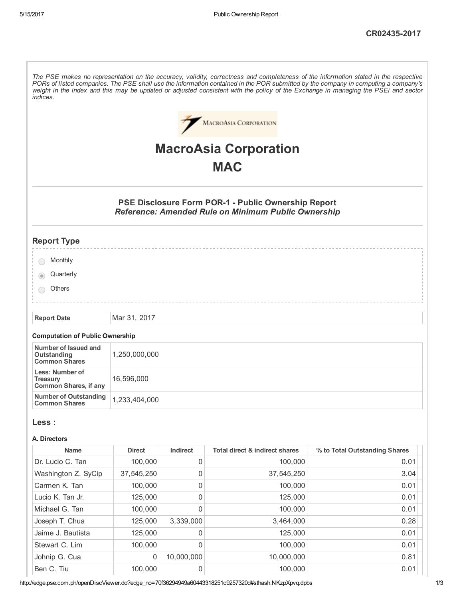The PSE makes no representation on the accuracy, validity, correctness and completeness of the information stated in the respective PORs of listed companies. The PSE shall use the information contained in the POR submitted by the company in computing a company's weight in the index and this may be updated or adjusted consistent with the policy of the Exchange in managing the PSEi and sector indices.



# MacroAsia Corporation **MAC**

# PSE Disclosure Form POR-1 - Public Ownership Report Reference: Amended Rule on Minimum Public Ownership

# Report Type

| Monthly |  |
|---------|--|
|---------|--|

- **Quarterly**
- **Others**

Report Date Mar 31, 2017

#### Computation of Public Ownership

| Number of Issued and<br>Outstanding<br><b>Common Shares</b> | 1,250,000,000 |
|-------------------------------------------------------------|---------------|
| Less: Number of<br><b>Treasury</b><br>Common Shares, if any | 16,596,000    |
| Number of Outstanding<br><b>Common Shares</b>               | 1,233,404,000 |

#### Less :

#### A. Directors

| <b>Name</b>         | <b>Direct</b> | Indirect    | <b>Total direct &amp; indirect shares</b> | % to Total Outstanding Shares |
|---------------------|---------------|-------------|-------------------------------------------|-------------------------------|
| Dr. Lucio C. Tan    | 100,000       | 0           | 100,000                                   | 0.01                          |
| Washington Z. SyCip | 37,545,250    | 0           | 37,545,250                                | 3.04                          |
| Carmen K. Tan       | 100,000       | $\mathbf 0$ | 100,000                                   | 0.01                          |
| Lucio K. Tan Jr.    | 125,000       | 0           | 125,000                                   | 0.01                          |
| Michael G. Tan      | 100,000       | 0           | 100,000                                   | 0.01                          |
| Joseph T. Chua      | 125,000       | 3,339,000   | 3,464,000                                 | 0.28                          |
| Jaime J. Bautista   | 125,000       | 0           | 125,000                                   | 0.01                          |
| Stewart C. Lim      | 100,000       | $\Omega$    | 100,000                                   | 0.01                          |
| Johnip G. Cua       | 0             | 10.000.000  | 10,000,000                                | 0.81                          |
| Ben C. Tiu          | 100.000       | 0           | 100.000                                   | 0.01                          |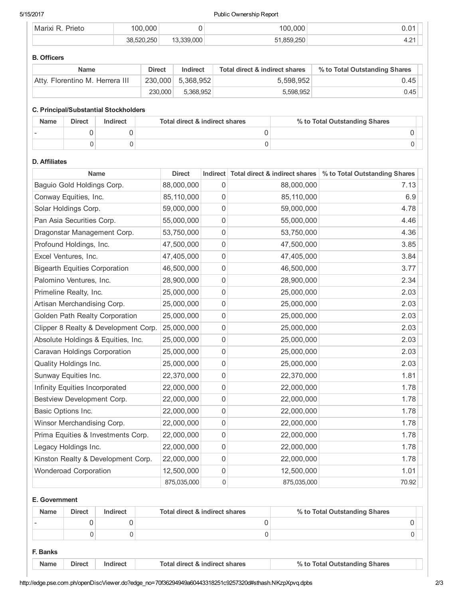#### 5/15/2017 Public Ownership Report

| $3min+4$<br>⊤Ma | ነበር       |        | nnn<br>Ω             |        |
|-----------------|-----------|--------|----------------------|--------|
|                 | つらい<br>ററ | $\cap$ | $\sim$ $\sim$ $\sim$ | $\sim$ |

#### B. Officers

| <b>Name</b>                     | <b>Direct</b> | Indirect          | Total direct & indirect shares | % to Total Outstanding Shares |
|---------------------------------|---------------|-------------------|--------------------------------|-------------------------------|
| Atty. Florentino M. Herrera III |               | 230.000 5.368.952 | 5.598.952                      | 0.45                          |
|                                 | 230,000       | 5.368.952         | 5.598.952                      | 0.45                          |

#### C. Principal/Substantial Stockholders

| <b>Name</b> | <b>Direct</b> | Indirect | Total direct & indirect shares | % to Total Outstanding Shares |
|-------------|---------------|----------|--------------------------------|-------------------------------|
|             |               |          |                                |                               |
|             |               |          |                                |                               |

## D. Affiliates

| <b>Name</b>                          | <b>Direct</b> |              | Indirect Total direct & indirect shares | % to Total Outstanding Shares |
|--------------------------------------|---------------|--------------|-----------------------------------------|-------------------------------|
| Baguio Gold Holdings Corp.           | 88,000,000    | 0            | 88,000,000                              | 7.13                          |
| Conway Equities, Inc.                | 85,110,000    | $\mathbf{0}$ | 85,110,000                              | 6.9                           |
| Solar Holdings Corp.                 | 59,000,000    | 0            | 59,000,000                              | 4.78                          |
| Pan Asia Securities Corp.            | 55,000,000    | 0            | 55,000,000                              | 4.46                          |
| Dragonstar Management Corp.          | 53,750,000    | 0            | 53,750,000                              | 4.36                          |
| Profound Holdings, Inc.              | 47,500,000    | 0            | 47,500,000                              | 3.85                          |
| Excel Ventures, Inc.                 | 47,405,000    | 0            | 47,405,000                              | 3.84                          |
| <b>Bigearth Equities Corporation</b> | 46,500,000    | 0            | 46,500,000                              | 3.77                          |
| Palomino Ventures, Inc.              | 28,900,000    | 0            | 28,900,000                              | 2.34                          |
| Primeline Realty, Inc.               | 25,000,000    | 0            | 25,000,000                              | 2.03                          |
| Artisan Merchandising Corp.          | 25,000,000    | 0            | 25,000,000                              | 2.03                          |
| Golden Path Realty Corporation       | 25,000,000    | 0            | 25,000,000                              | 2.03                          |
| Clipper 8 Realty & Development Corp. | 25,000,000    | 0            | 25,000,000                              | 2.03                          |
| Absolute Holdings & Equities, Inc.   | 25,000,000    | 0            | 25,000,000                              | 2.03                          |
| Caravan Holdings Corporation         | 25,000,000    | 0            | 25,000,000                              | 2.03                          |
| Quality Holdings Inc.                | 25,000,000    | 0            | 25,000,000                              | 2.03                          |
| Sunway Equities Inc.                 | 22,370,000    | 0            | 22,370,000                              | 1.81                          |
| Infinity Equities Incorporated       | 22,000,000    | 0            | 22,000,000                              | 1.78                          |
| Bestview Development Corp.           | 22,000,000    | 0            | 22,000,000                              | 1.78                          |
| Basic Options Inc.                   | 22,000,000    | 0            | 22,000,000                              | 1.78                          |
| Winsor Merchandising Corp.           | 22,000,000    | 0            | 22,000,000                              | 1.78                          |
| Prima Equities & Investments Corp.   | 22,000,000    | 0            | 22,000,000                              | 1.78                          |
| Legacy Holdings Inc.                 | 22,000,000    | 0            | 22,000,000                              | 1.78                          |
| Kinston Realty & Development Corp.   | 22,000,000    | 0            | 22,000,000                              | 1.78                          |
| <b>Wonderoad Corporation</b>         | 12,500,000    | 0            | 12,500,000                              | 1.01                          |
|                                      | 875,035,000   | 0            | 875,035,000                             | 70.92                         |

#### E. Government

| <b>Name</b> | <b>Direct</b> | Indirect | Total direct & indirect shares | % to Total Outstanding Shares |
|-------------|---------------|----------|--------------------------------|-------------------------------|
|             |               |          |                                |                               |
|             |               |          |                                |                               |

- F. Banks
	- Name Direct Indirect Total direct & indirect shares % to Total Outstanding Shares